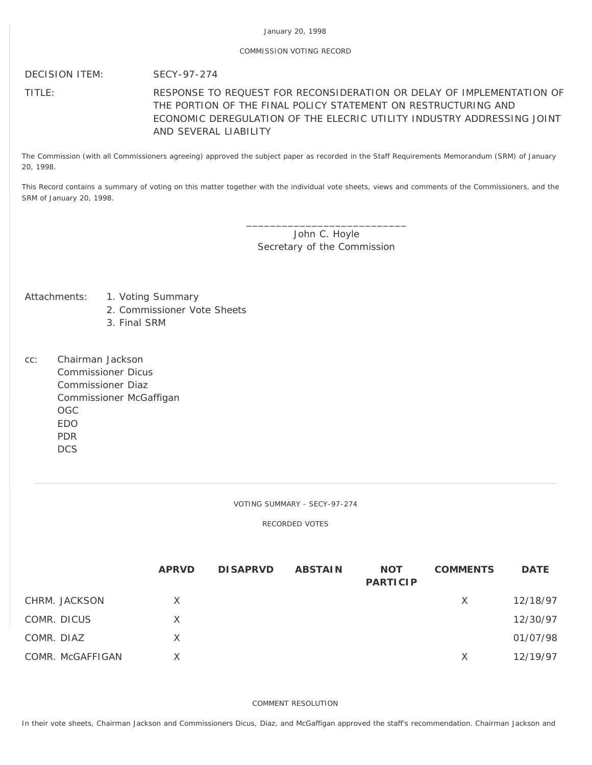## January 20, 1998

## COMMISSION VOTING RECORD

## DECISION ITEM: SECY-97-274

## TITLE: RESPONSE TO REQUEST FOR RECONSIDERATION OR DELAY OF IMPLEMENTATION OF THE PORTION OF THE FINAL POLICY STATEMENT ON RESTRUCTURING AND ECONOMIC DEREGULATION OF THE ELECRIC UTILITY INDUSTRY ADDRESSING JOINT AND SEVERAL LIABILITY

The Commission (with all Commissioners agreeing) approved the subject paper as recorded in the Staff Requirements Memorandum (SRM) of January 20, 1998.

This Record contains a summary of voting on this matter together with the individual vote sheets, views and comments of the Commissioners, and the SRM of January 20, 1998.

> \_\_\_\_\_\_\_\_\_\_\_\_\_\_\_\_\_\_\_\_\_\_\_\_\_\_\_ John C. Hoyle Secretary of the Commission

- Attachments: 1. Voting Summary
	- 2. Commissioner Vote Sheets
	- 3. Final SRM
- cc: Chairman Jackson Commissioner Dicus Commissioner Diaz Commissioner McGaffigan OGC EDO PDR DCS

VOTING SUMMARY - SECY-97-274

RECORDED VOTES

|                  | <b>APRVD</b> | <b>DISAPRVD</b> | <b>ABSTAIN</b> | <b>NOT</b><br><b>PARTICIP</b> | <b>COMMENTS</b> | <b>DATE</b> |
|------------------|--------------|-----------------|----------------|-------------------------------|-----------------|-------------|
| CHRM. JACKSON    | X            |                 |                |                               | X               | 12/18/97    |
| COMR. DICUS      | X            |                 |                |                               |                 | 12/30/97    |
| COMR. DIAZ       | X            |                 |                |                               |                 | 01/07/98    |
| COMR. McGAFFIGAN | X            |                 |                |                               | X               | 12/19/97    |

COMMENT RESOLUTION